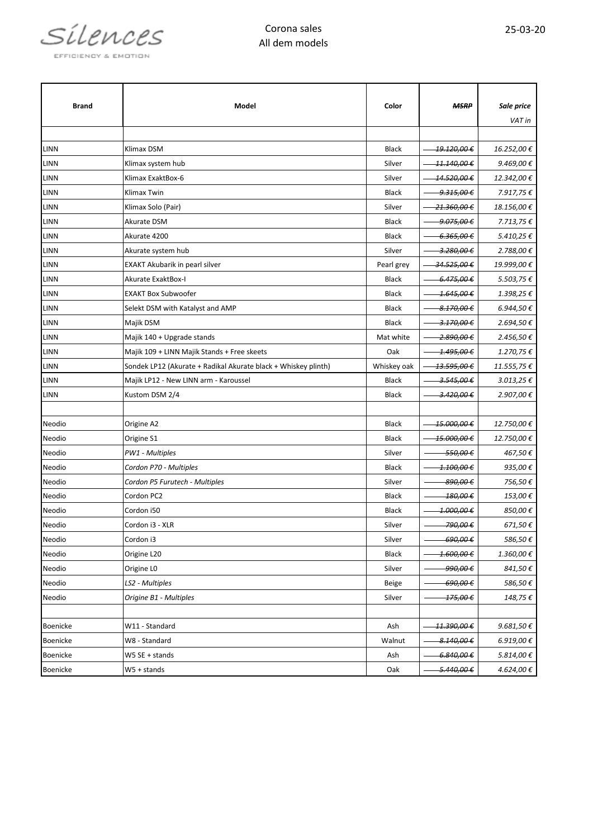

| <b>Brand</b> | Model                                                          | Color        | <b>MSRP</b>            | Sale price<br>VAT in |
|--------------|----------------------------------------------------------------|--------------|------------------------|----------------------|
|              |                                                                |              |                        |                      |
| LINN         | <b>Klimax DSM</b>                                              | <b>Black</b> | 19.120,00 €            | 16.252,00€           |
| LINN         | Klimax system hub                                              | Silver       | 11.140,00 €            | 9.469,00€            |
| LINN         | Klimax ExaktBox-6                                              | Silver       | 44.520,00€             | 12.342,00€           |
| LINN         | Klimax Twin                                                    | <b>Black</b> | 9.315,00€              | 7.917,75 €           |
| LINN         | Klimax Solo (Pair)                                             | Silver       | <del>21.360,00 €</del> | 18.156,00€           |
| LINN         | Akurate DSM                                                    | <b>Black</b> | -9.075,00 €            | 7.713,75 €           |
| LINN         | Akurate 4200                                                   | <b>Black</b> | 6.365,00 €             | 5.410,25 €           |
| LINN         | Akurate system hub                                             | Silver       | <del>3.280,00 €</del>  | 2.788,00 €           |
| LINN         | <b>EXAKT Akubarik in pearl silver</b>                          | Pearl grey   | <del>34.525,00 €</del> | 19.999,00€           |
| LINN         | Akurate ExaktBox-I                                             | <b>Black</b> | $-6.475,00€$           | 5.503,75 €           |
| LINN         | <b>EXAKT Box Subwoofer</b>                                     | <b>Black</b> | <del>1.645,00 €</del>  | $1.398,25 \notin$    |
| LINN         | Selekt DSM with Katalyst and AMP                               | <b>Black</b> | <del>8.170,00 €</del>  | 6.944,50 €           |
| LINN         | Majik DSM                                                      | <b>Black</b> | <del>3.170,00 €</del>  | 2.694,50 €           |
| LINN         | Majik 140 + Upgrade stands                                     | Mat white    | -2.890,00 €            | 2.456,50 €           |
| LINN         | Majik 109 + LINN Majik Stands + Free skeets                    | Oak          | 4.495,00 €             | 1.270,75€            |
| LINN         | Sondek LP12 (Akurate + Radikal Akurate black + Whiskey plinth) | Whiskey oak  | <del>13.595,00 €</del> | 11.555,75 €          |
| LINN         | Majik LP12 - New LINN arm - Karoussel                          | <b>Black</b> | $-3.545,00€$           | $3.013,25 \notin$    |
| LINN         | Kustom DSM 2/4                                                 | <b>Black</b> | 3.420,00 €             | 2.907,00 €           |
|              |                                                                |              |                        |                      |
| Neodio       | Origine A2                                                     | <b>Black</b> | <del>15.000,00 €</del> | 12.750,00€           |
| Neodio       | Origine S1                                                     | <b>Black</b> | 45.000,00 €            | 12.750,00 €          |
| Neodio       | PW1 - Multiples                                                | Silver       | -550,00 €              | 467,50€              |
| Neodio       | Cordon P70 - Multiples                                         | <b>Black</b> | 4.100,00 €             | 935,00 €             |
| Neodio       | Cordon P5 Furutech - Multiples                                 | Silver       | -890,00 €              | 756,50€              |
| Neodio       | Cordon PC2                                                     | <b>Black</b> | 480,00 €               | 153,00€              |
| Neodio       | Cordon i50                                                     | <b>Black</b> | 4.000,00 €             | 850,00€              |
| Neodio       | Cordon i3 - XLR                                                | Silver       | <del>.790,00 €</del>   | 671,50€              |
| Neodio       | Cordon i3                                                      | Silver       | 690,00€                | 586,50€              |
| Neodio       | Origine L20                                                    | <b>Black</b> | 4.600,00€              | 1.360,00€            |
| Neodio       | Origine L0                                                     | Silver       | -990,00 €              | 841,50€              |
| Neodio       | LS2 - Multiples                                                | Beige        | 690,00 €               | 586,50€              |
| Neodio       | Origine B1 - Multiples                                         | Silver       | 175,00 €               | 148,75 €             |
|              |                                                                |              |                        |                      |
| Boenicke     | W11 - Standard                                                 | Ash          | 11.390,00€             | 9.681,50€            |
| Boenicke     | W8 - Standard                                                  | Walnut       | 8.140,00€              | 6.919,00€            |
| Boenicke     | W5 SE + stands                                                 | Ash          | 6.840,00€              | 5.814,00 €           |
| Boenicke     | W5 + stands                                                    | Oak          | 5.440,00€              | 4.624,00€            |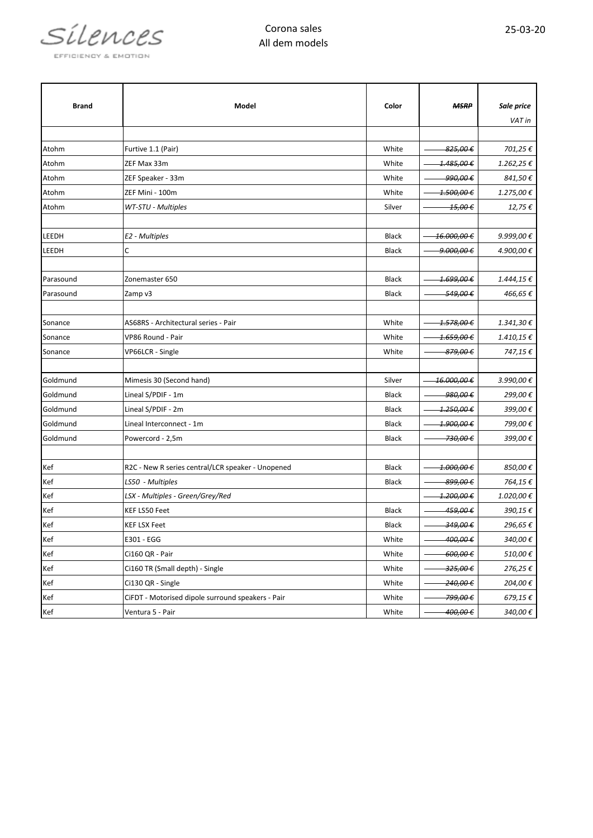

| <b>Brand</b> | Model                                             | Color        | <b>MSRP</b>           | Sale price          |
|--------------|---------------------------------------------------|--------------|-----------------------|---------------------|
|              |                                                   |              |                       | VAT in              |
|              |                                                   |              |                       |                     |
| Atohm        | Furtive 1.1 (Pair)                                | White        | 825,00€               | 701,25€             |
| Atohm        | ZEF Max 33m                                       | White        | 1.485,00€             | 1.262,25 €          |
| Atohm        | ZEF Speaker - 33m                                 | White        | 990,00€               | 841,50€             |
| Atohm        | ZEF Mini - 100m                                   | White        | 4.500,00 €            | 1.275,00€           |
| Atohm        | WT-STU - Multiples                                | Silver       | 45,00€                | 12,75€              |
|              |                                                   |              |                       |                     |
| LEEDH        | E2 - Multiples                                    | <b>Black</b> | 46.000,00€            | 9.999,00 €          |
| LEEDH        | С                                                 | <b>Black</b> | <del>9.000,00 €</del> | 4.900,00€           |
|              |                                                   |              |                       |                     |
| Parasound    | Zonemaster 650                                    | <b>Black</b> | $-1.699,00€$          | $1.444,15 \notin$   |
| Parasound    | Zamp v3                                           | <b>Black</b> | 549,00 €              | 466,65€             |
|              |                                                   |              |                       |                     |
| Sonance      | AS68RS - Architectural series - Pair              | White        | 4.578,00€             | 1.341,30€           |
| Sonance      | VP86 Round - Pair                                 | White        | 4.659,00€             | $1.410,15 \in$      |
| Sonance      | VP66LCR - Single                                  | White        | 879,00€               | 747,15€             |
|              |                                                   |              |                       |                     |
| Goldmund     | Mimesis 30 (Second hand)                          | Silver       | 46.000,00€            | 3.990,00€           |
| Goldmund     | Lineal S/PDIF - 1m                                | <b>Black</b> | 980,00 €              | 299,00€             |
| Goldmund     | Lineal S/PDIF - 2m                                | <b>Black</b> | 4.250,00€             | 399,00€             |
| Goldmund     | Lineal Interconnect - 1m                          | <b>Black</b> | 4.900,00 €            | 799,00€             |
| Goldmund     | Powercord - 2,5m                                  | <b>Black</b> | -730,00 €             | 399,00 €            |
|              |                                                   |              |                       |                     |
| Kef          | R2C - New R series central/LCR speaker - Unopened | <b>Black</b> | 4.000,00 €            | 850,00€             |
| Kef          | LS50 - Multiples                                  | Black        | 899,00 €              | 764,15€             |
| Kef          | LSX - Multiples - Green/Grey/Red                  |              | 4.200,00€             | 1.020,00€           |
| Kef          | KEF LS50 Feet                                     | <b>Black</b> | 459,00 €              | 390,15€             |
| Kef          | <b>KEF LSX Feet</b>                               | <b>Black</b> | 349,00€               | 296,65€             |
| Kef          | E301 - EGG                                        | White        | 400,00€               | 340,00€             |
| Kef          | Ci160 QR - Pair                                   | White        | 600,00€               | $510,00 \ \epsilon$ |
| Kef          | Ci160 TR (Small depth) - Single                   | White        | 325,00€               | 276,25€             |
| Kef          | Ci130 QR - Single                                 | White        | 240,00 €              | 204,00€             |
| Kef          | CiFDT - Motorised dipole surround speakers - Pair | White        | 799,00€               | $679{,}15 \in$      |
| Kef          | Ventura 5 - Pair                                  | White        | 400,00€               | 340,00€             |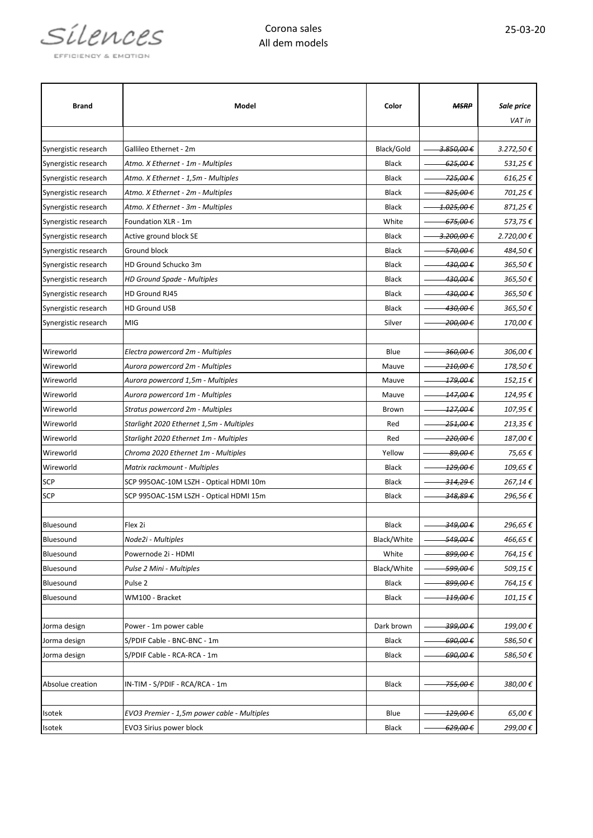

| Black/Gold<br>3.850,00 €<br>Synergistic research<br>Gallileo Ethernet - 2m<br>Synergistic research<br>Atmo. X Ethernet - 1m - Multiples<br>Black<br>625,00 €<br>Synergistic research<br>Atmo. X Ethernet - 1,5m - Multiples<br>Black<br>-725,00 €<br>Synergistic research<br>Atmo. X Ethernet - 2m - Multiples<br>Black<br><del>825,00 €</del><br>Synergistic research<br>Atmo. X Ethernet - 3m - Multiples<br><b>Black</b><br><del>1.025,00 €</del><br>Foundation XLR - 1m<br>White<br>Synergistic research<br>675,00 €<br>3.200,00 €<br>Synergistic research<br>Active ground block SE<br>Black<br>Ground block<br>Black<br>570,00 €<br>Synergistic research<br>HD Ground Schucko 3m<br>430,00 €<br>Synergistic research<br><b>Black</b><br>Synergistic research<br><b>HD Ground Spade - Multiples</b><br>Black<br>430,00 € | Sale price<br>VAT in |
|-------------------------------------------------------------------------------------------------------------------------------------------------------------------------------------------------------------------------------------------------------------------------------------------------------------------------------------------------------------------------------------------------------------------------------------------------------------------------------------------------------------------------------------------------------------------------------------------------------------------------------------------------------------------------------------------------------------------------------------------------------------------------------------------------------------------------------|----------------------|
|                                                                                                                                                                                                                                                                                                                                                                                                                                                                                                                                                                                                                                                                                                                                                                                                                               |                      |
|                                                                                                                                                                                                                                                                                                                                                                                                                                                                                                                                                                                                                                                                                                                                                                                                                               | 3.272,50 €           |
|                                                                                                                                                                                                                                                                                                                                                                                                                                                                                                                                                                                                                                                                                                                                                                                                                               | 531,25 €             |
|                                                                                                                                                                                                                                                                                                                                                                                                                                                                                                                                                                                                                                                                                                                                                                                                                               | 616,25€              |
|                                                                                                                                                                                                                                                                                                                                                                                                                                                                                                                                                                                                                                                                                                                                                                                                                               | 701,25 €             |
|                                                                                                                                                                                                                                                                                                                                                                                                                                                                                                                                                                                                                                                                                                                                                                                                                               | 871,25€              |
|                                                                                                                                                                                                                                                                                                                                                                                                                                                                                                                                                                                                                                                                                                                                                                                                                               | 573,75 €             |
|                                                                                                                                                                                                                                                                                                                                                                                                                                                                                                                                                                                                                                                                                                                                                                                                                               | 2.720,00€            |
|                                                                                                                                                                                                                                                                                                                                                                                                                                                                                                                                                                                                                                                                                                                                                                                                                               | 484,50 €             |
|                                                                                                                                                                                                                                                                                                                                                                                                                                                                                                                                                                                                                                                                                                                                                                                                                               | 365,50 €             |
|                                                                                                                                                                                                                                                                                                                                                                                                                                                                                                                                                                                                                                                                                                                                                                                                                               | 365,50 €             |
| HD Ground RJ45<br>Synergistic research<br>Black<br>430,00 €                                                                                                                                                                                                                                                                                                                                                                                                                                                                                                                                                                                                                                                                                                                                                                   | 365,50 €             |
| Synergistic research<br><b>HD Ground USB</b><br>430,00 €<br>Black                                                                                                                                                                                                                                                                                                                                                                                                                                                                                                                                                                                                                                                                                                                                                             | 365,50€              |
| Synergistic research<br>MIG<br>Silver<br>200,00 €                                                                                                                                                                                                                                                                                                                                                                                                                                                                                                                                                                                                                                                                                                                                                                             | 170,00 €             |
| Wireworld<br>Blue<br>360,00€<br>Electra powercord 2m - Multiples                                                                                                                                                                                                                                                                                                                                                                                                                                                                                                                                                                                                                                                                                                                                                              | 306,00€              |
| Wireworld<br>Aurora powercord 2m - Multiples<br>Mauve<br>210,00 €                                                                                                                                                                                                                                                                                                                                                                                                                                                                                                                                                                                                                                                                                                                                                             | 178,50 €             |
| Wireworld<br>Aurora powercord 1,5m - Multiples<br>Mauve<br>479,00 €                                                                                                                                                                                                                                                                                                                                                                                                                                                                                                                                                                                                                                                                                                                                                           | 152,15€              |
| Wireworld<br>Aurora powercord 1m - Multiples<br>Mauve<br>-147,00 €                                                                                                                                                                                                                                                                                                                                                                                                                                                                                                                                                                                                                                                                                                                                                            | 124,95€              |
| Wireworld<br>Stratus powercord 2m - Multiples<br>427,00 €<br>Brown                                                                                                                                                                                                                                                                                                                                                                                                                                                                                                                                                                                                                                                                                                                                                            | 107,95€              |
| Wireworld<br>Starlight 2020 Ethernet 1,5m - Multiples<br>Red<br><del>251,00 €</del>                                                                                                                                                                                                                                                                                                                                                                                                                                                                                                                                                                                                                                                                                                                                           | 213,35 €             |
| Wireworld<br>Starlight 2020 Ethernet 1m - Multiples<br>Red<br>220,00 €                                                                                                                                                                                                                                                                                                                                                                                                                                                                                                                                                                                                                                                                                                                                                        | 187,00€              |
| Wireworld<br>Chroma 2020 Ethernet 1m - Multiples<br>Yellow<br>-89,00 €                                                                                                                                                                                                                                                                                                                                                                                                                                                                                                                                                                                                                                                                                                                                                        | 75,65 €              |
| Wireworld<br>Matrix rackmount - Multiples<br>Black<br>129,00 €                                                                                                                                                                                                                                                                                                                                                                                                                                                                                                                                                                                                                                                                                                                                                                | 109,65 €             |
| <b>SCP</b><br>SCP 995OAC-10M LSZH - Optical HDMI 10m<br><b>Black</b><br><del>314,29 €</del>                                                                                                                                                                                                                                                                                                                                                                                                                                                                                                                                                                                                                                                                                                                                   | 267,14€              |
| <b>SCP</b><br>348,89€<br>SCP 995OAC-15M LSZH - Optical HDMI 15m<br>Black                                                                                                                                                                                                                                                                                                                                                                                                                                                                                                                                                                                                                                                                                                                                                      | 296,56 €             |
|                                                                                                                                                                                                                                                                                                                                                                                                                                                                                                                                                                                                                                                                                                                                                                                                                               |                      |
| 349,00€<br>Bluesound<br>Flex 2i<br><b>Black</b>                                                                                                                                                                                                                                                                                                                                                                                                                                                                                                                                                                                                                                                                                                                                                                               | 296,65€              |
| Bluesound<br>549,00€<br>Node2i - Multiples<br>Black/White                                                                                                                                                                                                                                                                                                                                                                                                                                                                                                                                                                                                                                                                                                                                                                     | 466,65€              |
| Bluesound<br>Powernode 2i - HDMI<br>White<br>899,00€                                                                                                                                                                                                                                                                                                                                                                                                                                                                                                                                                                                                                                                                                                                                                                          | 764,15€              |
| Bluesound<br>Black/White<br>599,00 €<br>Pulse 2 Mini - Multiples                                                                                                                                                                                                                                                                                                                                                                                                                                                                                                                                                                                                                                                                                                                                                              | 509,15€              |
| 899,00€<br>Bluesound<br>Pulse <sub>2</sub><br><b>Black</b>                                                                                                                                                                                                                                                                                                                                                                                                                                                                                                                                                                                                                                                                                                                                                                    | 764,15€              |
| Bluesound<br>WM100 - Bracket<br>419,00€<br>Black                                                                                                                                                                                                                                                                                                                                                                                                                                                                                                                                                                                                                                                                                                                                                                              | $101,15 \in$         |
| 399,00€<br>Jorma design<br>Power - 1m power cable<br>Dark brown                                                                                                                                                                                                                                                                                                                                                                                                                                                                                                                                                                                                                                                                                                                                                               | 199,00€              |
| Jorma design<br>S/PDIF Cable - BNC-BNC - 1m<br>690,00 €<br>Black                                                                                                                                                                                                                                                                                                                                                                                                                                                                                                                                                                                                                                                                                                                                                              | 586,50 €             |
| S/PDIF Cable - RCA-RCA - 1m<br>690,00 €<br>Jorma design<br>Black                                                                                                                                                                                                                                                                                                                                                                                                                                                                                                                                                                                                                                                                                                                                                              | 586,50€              |
| Absolue creation<br>IN-TIM - S/PDIF - RCA/RCA - 1m<br>755,00€<br>Black                                                                                                                                                                                                                                                                                                                                                                                                                                                                                                                                                                                                                                                                                                                                                        | 380,00€              |
| EVO3 Premier - 1,5m power cable - Multiples<br>129,00 €<br>Isotek<br>Blue                                                                                                                                                                                                                                                                                                                                                                                                                                                                                                                                                                                                                                                                                                                                                     | 65,00€               |
| EVO3 Sirius power block<br>629,00€<br>Isotek<br>Black                                                                                                                                                                                                                                                                                                                                                                                                                                                                                                                                                                                                                                                                                                                                                                         | 299,00€              |